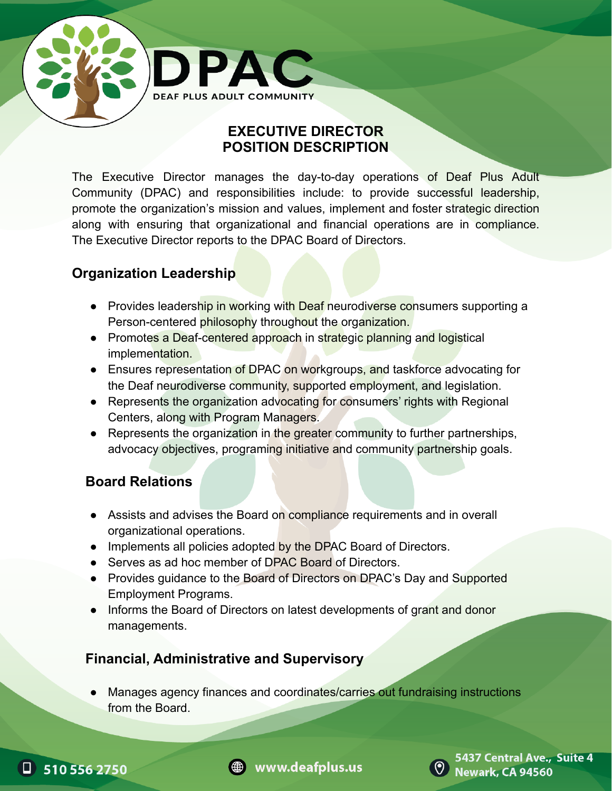

### **EXECUTIVE DIRECTOR POSITION DESCRIPTION**

The Executive Director manages the day-to-day operations of Deaf Plus Adult Community (DPAC) and responsibilities include: to provide successful leadership, promote the organization's mission and values, implement and foster strategic direction along with ensuring that organizational and financial operations are in compliance. The Executive Director reports to the DPAC Board of Directors.

# **Organization Leadership**

- Provides leadership in working with Deaf neurodiverse consumers supporting a Person-centered philosophy throughout the organization.
- Promotes a Deaf-centered approach in strategic planning and logistical implementation.
- Ensures representation of DPAC on workgroups, and taskforce advocating for the Deaf neurodiverse community, supported employment, and legislation.
- Represents the organization advocating for consumers' rights with Regional Centers, along with Program Managers.
- Represents the organization in the greater community to further partnerships, advocacy objectives, programing initiative and community partnership goals.

# **Board Relations**

- Assists and advises the Board on compliance requirements and in overall organizational operations.
- Implements all policies adopted by the DPAC Board of Directors.
- Serves as ad hoc member of DPAC Board of Directors.
- Provides guidance to the Board of Directors on DPAC's Day and Supported Employment Programs.
- Informs the Board of Directors on latest developments of grant and donor managements.

# **Financial, Administrative and Supervisory**

Manages agency finances and coordinates/carries out fundraising instructions from the Board.







5437 Central Ave., Suite 4 **Newark, CA 94560**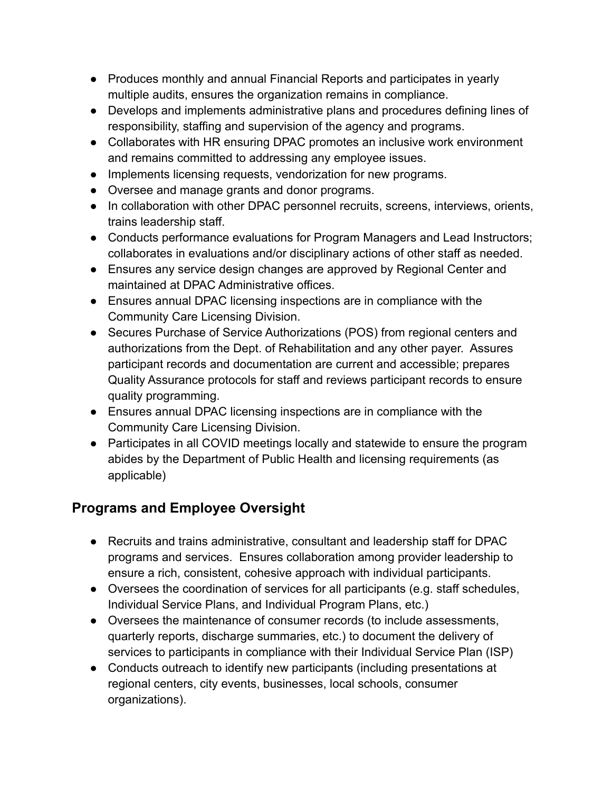- Produces monthly and annual Financial Reports and participates in yearly multiple audits, ensures the organization remains in compliance.
- Develops and implements administrative plans and procedures defining lines of responsibility, staffing and supervision of the agency and programs.
- Collaborates with HR ensuring DPAC promotes an inclusive work environment and remains committed to addressing any employee issues.
- Implements licensing requests, vendorization for new programs.
- Oversee and manage grants and donor programs.
- In collaboration with other DPAC personnel recruits, screens, interviews, orients, trains leadership staff.
- Conducts performance evaluations for Program Managers and Lead Instructors; collaborates in evaluations and/or disciplinary actions of other staff as needed.
- Ensures any service design changes are approved by Regional Center and maintained at DPAC Administrative offices.
- Ensures annual DPAC licensing inspections are in compliance with the Community Care Licensing Division.
- Secures Purchase of Service Authorizations (POS) from regional centers and authorizations from the Dept. of Rehabilitation and any other payer. Assures participant records and documentation are current and accessible; prepares Quality Assurance protocols for staff and reviews participant records to ensure quality programming.
- Ensures annual DPAC licensing inspections are in compliance with the Community Care Licensing Division.
- Participates in all COVID meetings locally and statewide to ensure the program abides by the Department of Public Health and licensing requirements (as applicable)

# **Programs and Employee Oversight**

- Recruits and trains administrative, consultant and leadership staff for DPAC programs and services. Ensures collaboration among provider leadership to ensure a rich, consistent, cohesive approach with individual participants.
- Oversees the coordination of services for all participants (e.g. staff schedules, Individual Service Plans, and Individual Program Plans, etc.)
- Oversees the maintenance of consumer records (to include assessments, quarterly reports, discharge summaries, etc.) to document the delivery of services to participants in compliance with their Individual Service Plan (ISP)
- Conducts outreach to identify new participants (including presentations at regional centers, city events, businesses, local schools, consumer organizations).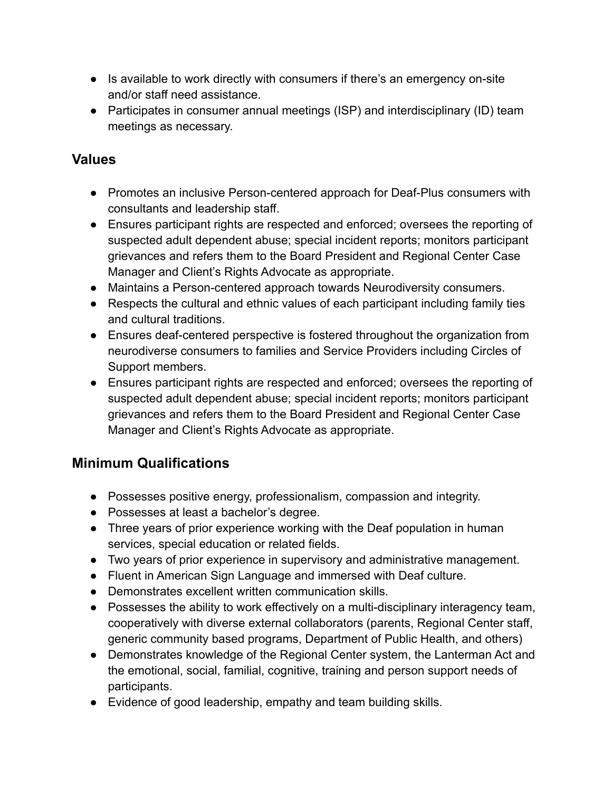- Is available to work directly with consumers if there's an emergency on-site and/or staff need assistance.
- Participates in consumer annual meetings (ISP) and interdisciplinary (ID) team meetings as necessary.

#### **Values**

- Promotes an inclusive Person-centered approach for Deaf-Plus consumers with consultants and leadership staff.
- Ensures participant rights are respected and enforced; oversees the reporting of suspected adult dependent abuse; special incident reports; monitors participant grievances and refers them to the Board President and Regional Center Case Manager and Client's Rights Advocate as appropriate.
- Maintains a Person-centered approach towards Neurodiversity consumers.
- Respects the cultural and ethnic values of each participant including family ties and cultural traditions.
- Ensures deaf-centered perspective is fostered throughout the organization from neurodiverse consumers to families and Service Providers including Circles of Support members.
- Ensures participant rights are respected and enforced; oversees the reporting of suspected adult dependent abuse; special incident reports; monitors participant grievances and refers them to the Board President and Regional Center Case Manager and Client's Rights Advocate as appropriate.

### **Minimum Qualifications**

- Possesses positive energy, professionalism, compassion and integrity.
- Possesses at least a bachelor's degree.
- Three years of prior experience working with the Deaf population in human services, special education or related fields.
- Two years of prior experience in supervisory and administrative management.
- Fluent in American Sign Language and immersed with Deaf culture.
- Demonstrates excellent written communication skills.
- Possesses the ability to work effectively on a multi-disciplinary interagency team, cooperatively with diverse external collaborators (parents, Regional Center staff, generic community based programs, Department of Public Health, and others)
- Demonstrates knowledge of the Regional Center system, the Lanterman Act and the emotional, social, familial, cognitive, training and person support needs of participants.
- Evidence of good leadership, empathy and team building skills.